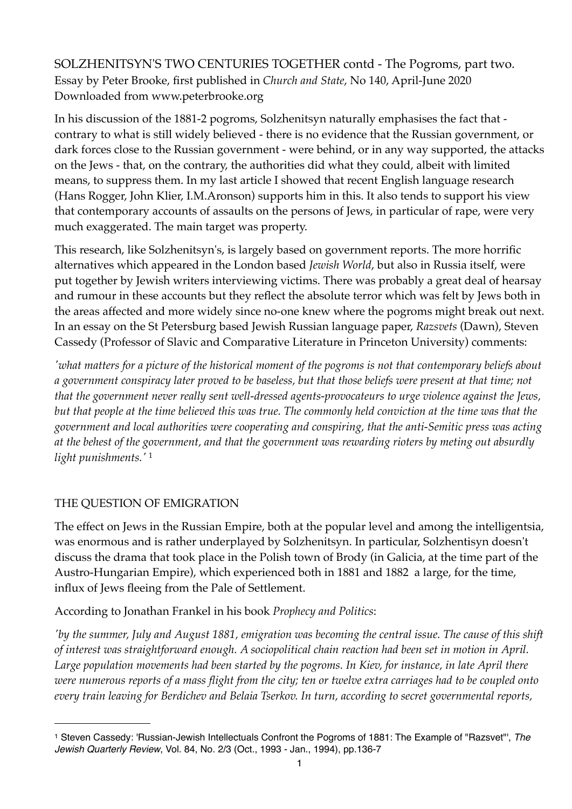SOLZHENITSYN'S TWO CENTURIES TOGETHER contd - The Pogroms, part two. Essay by Peter Brooke, first published in *Church and State*, No 140, April-June 2020 Downloaded from www.peterbrooke.org

In his discussion of the 1881-2 pogroms, Solzhenitsyn naturally emphasises the fact that contrary to what is still widely believed - there is no evidence that the Russian government, or dark forces close to the Russian government - were behind, or in any way supported, the attacks on the Jews - that, on the contrary, the authorities did what they could, albeit with limited means, to suppress them. In my last article I showed that recent English language research (Hans Rogger, John Klier, I.M.Aronson) supports him in this. It also tends to support his view that contemporary accounts of assaults on the persons of Jews, in particular of rape, were very much exaggerated. The main target was property.

This research, like Solzhenitsyn's, is largely based on government reports. The more horrific alternatives which appeared in the London based *Jewish World*, but also in Russia itself, were put together by Jewish writers interviewing victims. There was probably a great deal of hearsay and rumour in these accounts but they reflect the absolute terror which was felt by Jews both in the areas affected and more widely since no-one knew where the pogroms might break out next. In an essay on the St Petersburg based Jewish Russian language paper, *Razsvets* (Dawn), Steven Cassedy (Professor of Slavic and Comparative Literature in Princeton University) comments:

*'what matters for a picture of the historical moment of the pogroms is not that contemporary beliefs about a government conspiracy later proved to be baseless, but that those beliefs were present at that time; not that the government never really sent well-dressed agents-provocateurs to urge violence against the Jews, but that people at the time believed this was true. The commonly held conviction at the time was that the government and local authorities were cooperating and conspiring, that the anti-Semitic press was acting at the behest of the government, and that the government was rewarding rioters by meting out absurdly light punishments.'* [1](#page-0-0)

## THE QUESTION OF EMIGRATION

The effect on Jews in the Russian Empire, both at the popular level and among the intelligentsia, was enormous and is rather underplayed by Solzhenitsyn. In particular, Solzhentisyn doesn't discuss the drama that took place in the Polish town of Brody (in Galicia, at the time part of the Austro-Hungarian Empire), which experienced both in 1881 and 1882 a large, for the time, influx of Jews fleeing from the Pale of Settlement.

According to Jonathan Frankel in his book *Prophecy and Politics*:

*'by the summer, July and August 1881, emigration was becoming the central issue. The cause of this shift of interest was straightforward enough. A sociopolitical chain reaction had been set in motion in April. Large population movements had been started by the pogroms. In Kiev, for instance, in late April there were numerous reports of a mass flight from the city; ten or twelve extra carriages had to be coupled onto every train leaving for Berdichev and Belaia Tserkov. In turn, according to secret governmental reports,* 

<span id="page-0-0"></span><sup>1</sup> Steven Cassedy: 'Russian-Jewish Intellectuals Confront the Pogroms of 1881: The Example of "Razsvet"', *The Jewish Quarterly Review*, Vol. 84, No. 2/3 (Oct., 1993 - Jan., 1994), pp.136-7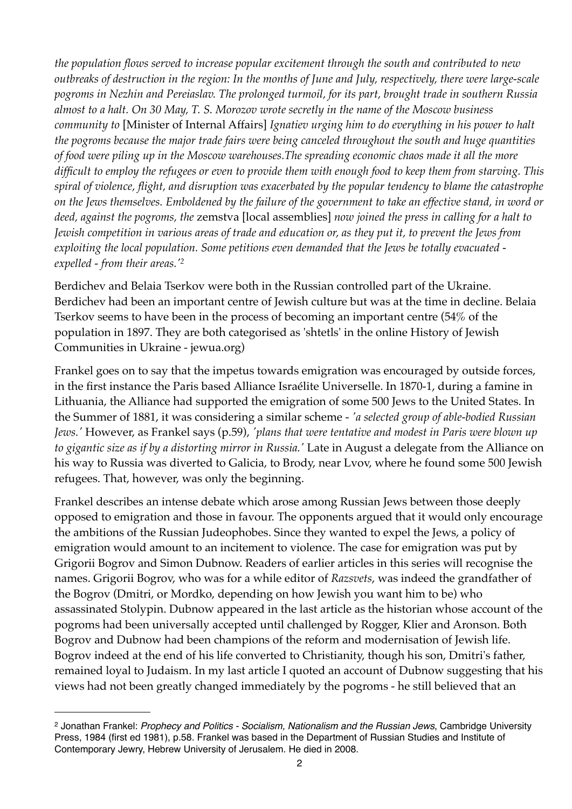*the population flows served to increase popular excitement through the south and contributed to new outbreaks of destruction in the region: In the months of June and July, respectively, there were large-scale pogroms in Nezhin and Pereiaslav. The prolonged turmoil, for its part, brought trade in southern Russia almost to a halt. On 30 May, T. S. Morozov wrote secretly in the name of the Moscow business community to* [Minister of Internal Affairs] *Ignatiev urging him to do everything in his power to halt the pogroms because the major trade fairs were being canceled throughout the south and huge quantities of food were piling up in the Moscow warehouses.The spreading economic chaos made it all the more difficult to employ the refugees or even to provide them with enough food to keep them from starving. This spiral of violence, flight, and disruption was exacerbated by the popular tendency to blame the catastrophe on the Jews themselves. Emboldened by the failure of the government to take an effective stand, in word or deed, against the pogroms, the* zemstva [local assemblies] *now joined the press in calling for a halt to Jewish competition in various areas of trade and education or, as they put it, to prevent the Jews from exploiting the local population. Some petitions even demanded that the Jews be totally evacuated expelled - from their areas.'[2](#page-1-0)*

Berdichev and Belaia Tserkov were both in the Russian controlled part of the Ukraine. Berdichev had been an important centre of Jewish culture but was at the time in decline. Belaia Tserkov seems to have been in the process of becoming an important centre (54% of the population in 1897. They are both categorised as 'shtetls' in the online History of Jewish Communities in Ukraine - jewua.org)

Frankel goes on to say that the impetus towards emigration was encouraged by outside forces, in the first instance the Paris based Alliance Israélite Universelle. In 1870-1, during a famine in Lithuania, the Alliance had supported the emigration of some 500 Jews to the United States. In the Summer of 1881, it was considering a similar scheme - *'a selected group of able-bodied Russian Jews.'* However, as Frankel says (p.59), *'plans that were tentative and modest in Paris were blown up to gigantic size as if by a distorting mirror in Russia.'* Late in August a delegate from the Alliance on his way to Russia was diverted to Galicia, to Brody, near Lvov, where he found some 500 Jewish refugees. That, however, was only the beginning.

Frankel describes an intense debate which arose among Russian Jews between those deeply opposed to emigration and those in favour. The opponents argued that it would only encourage the ambitions of the Russian Judeophobes. Since they wanted to expel the Jews, a policy of emigration would amount to an incitement to violence. The case for emigration was put by Grigorii Bogrov and Simon Dubnow. Readers of earlier articles in this series will recognise the names. Grigorii Bogrov, who was for a while editor of *Razsvets*, was indeed the grandfather of the Bogrov (Dmitri, or Mordko, depending on how Jewish you want him to be) who assassinated Stolypin. Dubnow appeared in the last article as the historian whose account of the pogroms had been universally accepted until challenged by Rogger, Klier and Aronson. Both Bogrov and Dubnow had been champions of the reform and modernisation of Jewish life. Bogrov indeed at the end of his life converted to Christianity, though his son, Dmitri's father, remained loyal to Judaism. In my last article I quoted an account of Dubnow suggesting that his views had not been greatly changed immediately by the pogroms - he still believed that an

<span id="page-1-0"></span><sup>2</sup> Jonathan Frankel: *Prophecy and Politics - Socialism, Nationalism and the Russian Jews*, Cambridge University Press, 1984 (first ed 1981), p.58. Frankel was based in the Department of Russian Studies and Institute of Contemporary Jewry, Hebrew University of Jerusalem. He died in 2008.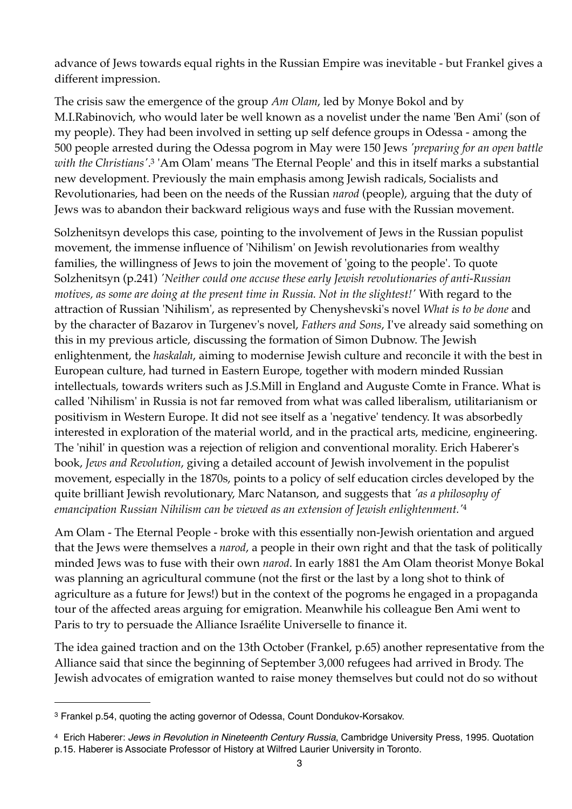advance of Jews towards equal rights in the Russian Empire was inevitable - but Frankel gives a different impression.

The crisis saw the emergence of the group *Am Olam*, led by Monye Bokol and by M.I.Rabinovich, who would later be well known as a novelist under the name 'Ben Ami' (son of my people). They had been involved in setting up self defence groups in Odessa - among the 500 people arrested during the Odessa pogrom in May were 150 Jews *'preparing for an open battle with the Christians'*. [3](#page-2-0) 'Am Olam' means 'The Eternal People' and this in itself marks a substantial new development. Previously the main emphasis among Jewish radicals, Socialists and Revolutionaries, had been on the needs of the Russian *narod* (people), arguing that the duty of Jews was to abandon their backward religious ways and fuse with the Russian movement.

Solzhenitsyn develops this case, pointing to the involvement of Jews in the Russian populist movement, the immense influence of 'Nihilism' on Jewish revolutionaries from wealthy families, the willingness of Jews to join the movement of 'going to the people'. To quote Solzhenitsyn (p.241) *'Neither could one accuse these early Jewish revolutionaries of anti-Russian motives, as some are doing at the present time in Russia. Not in the slightest!'* With regard to the attraction of Russian 'Nihilism', as represented by Chenyshevski's novel *What is to be done* and by the character of Bazarov in Turgenev's novel, *Fathers and Sons*, I've already said something on this in my previous article, discussing the formation of Simon Dubnow. The Jewish enlightenment, the *haskalah*, aiming to modernise Jewish culture and reconcile it with the best in European culture, had turned in Eastern Europe, together with modern minded Russian intellectuals, towards writers such as J.S.Mill in England and Auguste Comte in France. What is called 'Nihilism' in Russia is not far removed from what was called liberalism, utilitarianism or positivism in Western Europe. It did not see itself as a 'negative' tendency. It was absorbedly interested in exploration of the material world, and in the practical arts, medicine, engineering. The 'nihil' in question was a rejection of religion and conventional morality. Erich Haberer's book, *Jews and Revolution*, giving a detailed account of Jewish involvement in the populist movement, especially in the 1870s, points to a policy of self education circles developed by the quite brilliant Jewish revolutionary, Marc Natanson, and suggests that *'as a philosophy of emancipation Russian Nihilism can be viewed as an extension of Jewish enlightenment.'*[4](#page-2-1)

Am Olam - The Eternal People - broke with this essentially non-Jewish orientation and argued that the Jews were themselves a *narod*, a people in their own right and that the task of politically minded Jews was to fuse with their own *narod*. In early 1881 the Am Olam theorist Monye Bokal was planning an agricultural commune (not the first or the last by a long shot to think of agriculture as a future for Jews!) but in the context of the pogroms he engaged in a propaganda tour of the affected areas arguing for emigration. Meanwhile his colleague Ben Ami went to Paris to try to persuade the Alliance Israélite Universelle to finance it.

The idea gained traction and on the 13th October (Frankel, p.65) another representative from the Alliance said that since the beginning of September 3,000 refugees had arrived in Brody. The Jewish advocates of emigration wanted to raise money themselves but could not do so without

<span id="page-2-0"></span><sup>3</sup> Frankel p.54, quoting the acting governor of Odessa, Count Dondukov-Korsakov.

<span id="page-2-1"></span><sup>4</sup> Erich Haberer: *Jews in Revolution in Nineteenth Century Russia*, Cambridge University Press, 1995. Quotation p.15. Haberer is Associate Professor of History at Wilfred Laurier University in Toronto.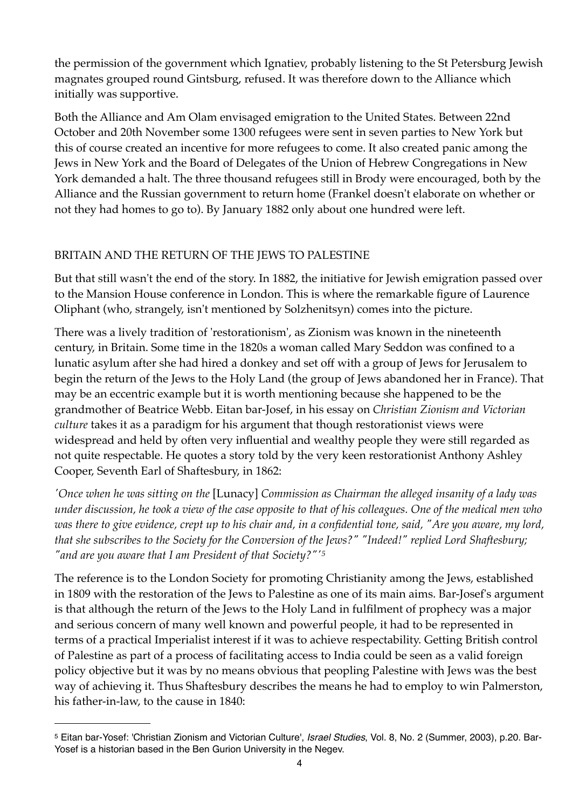the permission of the government which Ignatiev, probably listening to the St Petersburg Jewish magnates grouped round Gintsburg, refused. It was therefore down to the Alliance which initially was supportive.

Both the Alliance and Am Olam envisaged emigration to the United States. Between 22nd October and 20th November some 1300 refugees were sent in seven parties to New York but this of course created an incentive for more refugees to come. It also created panic among the Jews in New York and the Board of Delegates of the Union of Hebrew Congregations in New York demanded a halt. The three thousand refugees still in Brody were encouraged, both by the Alliance and the Russian government to return home (Frankel doesn't elaborate on whether or not they had homes to go to). By January 1882 only about one hundred were left.

# BRITAIN AND THE RETURN OF THE JEWS TO PALESTINE

But that still wasn't the end of the story. In 1882, the initiative for Jewish emigration passed over to the Mansion House conference in London. This is where the remarkable figure of Laurence Oliphant (who, strangely, isn't mentioned by Solzhenitsyn) comes into the picture.

There was a lively tradition of 'restorationism', as Zionism was known in the nineteenth century, in Britain. Some time in the 1820s a woman called Mary Seddon was confined to a lunatic asylum after she had hired a donkey and set off with a group of Jews for Jerusalem to begin the return of the Jews to the Holy Land (the group of Jews abandoned her in France). That may be an eccentric example but it is worth mentioning because she happened to be the grandmother of Beatrice Webb. Eitan bar-Josef, in his essay on *Christian Zionism and Victorian culture* takes it as a paradigm for his argument that though restorationist views were widespread and held by often very influential and wealthy people they were still regarded as not quite respectable. He quotes a story told by the very keen restorationist Anthony Ashley Cooper, Seventh Earl of Shaftesbury, in 1862:

*'Once when he was sitting on the* [Lunacy] *Commission as Chairman the alleged insanity of a lady was under discussion, he took a view of the case opposite to that of his colleagues. One of the medical men who was there to give evidence, crept up to his chair and, in a confidential tone, said, "Are you aware, my lord, that she subscribes to the Society for the Conversion of the Jews?" "Indeed!" replied Lord Shaftesbury; "and are you aware that I am President of that Society?"'[5](#page-3-0)*

The reference is to the London Society for promoting Christianity among the Jews, established in 1809 with the restoration of the Jews to Palestine as one of its main aims. Bar-Josef's argument is that although the return of the Jews to the Holy Land in fulfilment of prophecy was a major and serious concern of many well known and powerful people, it had to be represented in terms of a practical Imperialist interest if it was to achieve respectability. Getting British control of Palestine as part of a process of facilitating access to India could be seen as a valid foreign policy objective but it was by no means obvious that peopling Palestine with Jews was the best way of achieving it. Thus Shaftesbury describes the means he had to employ to win Palmerston, his father-in-law, to the cause in 1840:

<span id="page-3-0"></span><sup>5</sup> Eitan bar-Yosef: 'Christian Zionism and Victorian Culture', *Israel Studies*, Vol. 8, No. 2 (Summer, 2003), p.20. Bar-Yosef is a historian based in the Ben Gurion University in the Negev.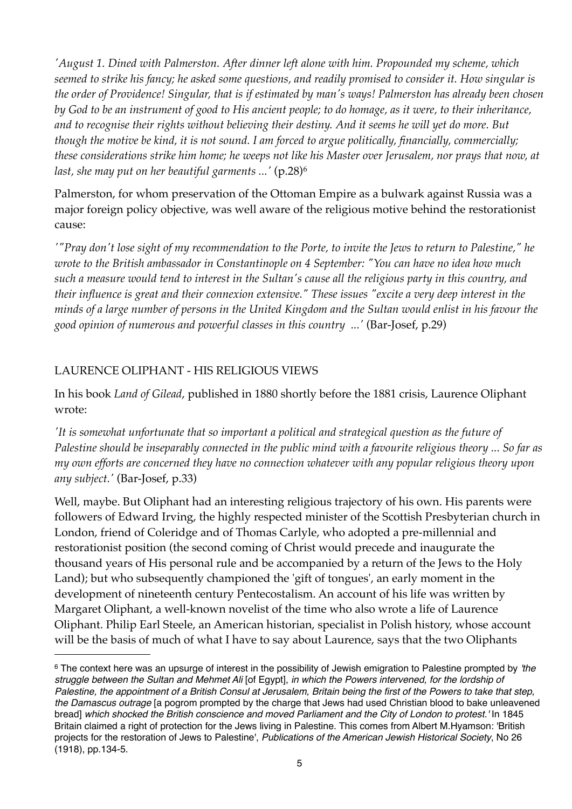*'August 1. Dined with Palmerston. After dinner left alone with him. Propounded my scheme, which seemed to strike his fancy; he asked some questions, and readily promised to consider it. How singular is the order of Providence! Singular, that is if estimated by man's ways! Palmerston has already been chosen by God to be an instrument of good to His ancient people; to do homage, as it were, to their inheritance, and to recognise their rights without believing their destiny. And it seems he will yet do more. But though the motive be kind, it is not sound. I am forced to argue politically, financially, commercially; these considerations strike him home; he weeps not like his Master over Jerusalem, nor prays that now, at last, she may put on her beautiful garments ...'* (p.28)[6](#page-4-0)

Palmerston, for whom preservation of the Ottoman Empire as a bulwark against Russia was a major foreign policy objective, was well aware of the religious motive behind the restorationist cause:

*'"Pray don't lose sight of my recommendation to the Porte, to invite the Jews to return to Palestine," he wrote to the British ambassador in Constantinople on 4 September: "You can have no idea how much such a measure would tend to interest in the Sultan's cause all the religious party in this country, and their influence is great and their connexion extensive." These issues "excite a very deep interest in the minds of a large number of persons in the United Kingdom and the Sultan would enlist in his favour the good opinion of numerous and powerful classes in this country ...'* (Bar-Josef, p.29)

# LAURENCE OLIPHANT - HIS RELIGIOUS VIEWS

In his book *Land of Gilead*, published in 1880 shortly before the 1881 crisis, Laurence Oliphant wrote:

*'It is somewhat unfortunate that so important a political and strategical question as the future of Palestine should be inseparably connected in the public mind with a favourite religious theory ... So far as my own efforts are concerned they have no connection whatever with any popular religious theory upon any subject.'* (Bar-Josef, p.33)

Well, maybe. But Oliphant had an interesting religious trajectory of his own. His parents were followers of Edward Irving, the highly respected minister of the Scottish Presbyterian church in London, friend of Coleridge and of Thomas Carlyle, who adopted a pre-millennial and restorationist position (the second coming of Christ would precede and inaugurate the thousand years of His personal rule and be accompanied by a return of the Jews to the Holy Land); but who subsequently championed the 'gift of tongues', an early moment in the development of nineteenth century Pentecostalism. An account of his life was written by Margaret Oliphant, a well-known novelist of the time who also wrote a life of Laurence Oliphant. Philip Earl Steele, an American historian, specialist in Polish history, whose account will be the basis of much of what I have to say about Laurence, says that the two Oliphants

<span id="page-4-0"></span><sup>6</sup> The context here was an upsurge of interest in the possibility of Jewish emigration to Palestine prompted by *'the struggle between the Sultan and Mehmet Ali* [of Egypt], *in which the Powers intervened, for the lordship of Palestine, the appointment of a British Consul at Jerusalem, Britain being the first of the Powers to take that step, the Damascus outrage* [a pogrom prompted by the charge that Jews had used Christian blood to bake unleavened bread] *which shocked the British conscience and moved Parliament and the City of London to protest.'* In 1845 Britain claimed a right of protection for the Jews living in Palestine. This comes from Albert M.Hyamson: 'British projects for the restoration of Jews to Palestine', *Publications of the American Jewish Historical Society*, No 26 (1918), pp.134-5.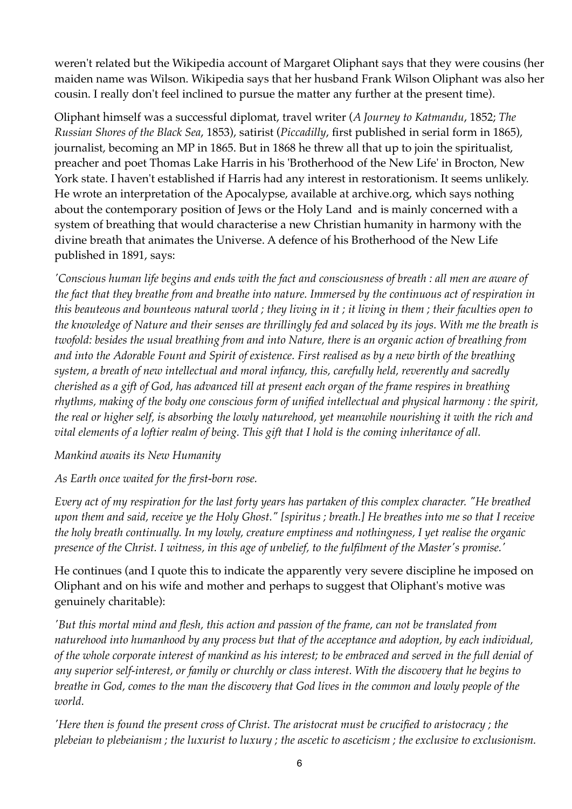weren't related but the Wikipedia account of Margaret Oliphant says that they were cousins (her maiden name was Wilson. Wikipedia says that her husband Frank Wilson Oliphant was also her cousin. I really don't feel inclined to pursue the matter any further at the present time).

Oliphant himself was a successful diplomat, travel writer (*A Journey to Katmandu*, 1852; *The Russian Shores of the Black Sea*, 1853), satirist (*Piccadilly*, first published in serial form in 1865), journalist, becoming an MP in 1865. But in 1868 he threw all that up to join the spiritualist, preacher and poet Thomas Lake Harris in his 'Brotherhood of the New Life' in Brocton, New York state. I haven't established if Harris had any interest in restorationism. It seems unlikely. He wrote an interpretation of the Apocalypse, available at archive.org, which says nothing about the contemporary position of Jews or the Holy Land and is mainly concerned with a system of breathing that would characterise a new Christian humanity in harmony with the divine breath that animates the Universe. A defence of his Brotherhood of the New Life published in 1891, says:

*'Conscious human life begins and ends with the fact and consciousness of breath : all men are aware of the fact that they breathe from and breathe into nature. Immersed by the continuous act of respiration in this beauteous and bounteous natural world ; they living in it ; it living in them ; their faculties open to the knowledge of Nature and their senses are thrillingly fed and solaced by its joys. With me the breath is twofold: besides the usual breathing from and into Nature, there is an organic action of breathing from and into the Adorable Fount and Spirit of existence. First realised as by a new birth of the breathing system, a breath of new intellectual and moral infancy, this, carefully held, reverently and sacredly cherished as a gift of God, has advanced till at present each organ of the frame respires in breathing rhythms, making of the body one conscious form of unified intellectual and physical harmony : the spirit, the real or higher self, is absorbing the lowly naturehood, yet meanwhile nourishing it with the rich and vital elements of a loftier realm of being. This gift that I hold is the coming inheritance of all.* 

### *Mankind awaits its New Humanity*

*As Earth once waited for the first-born rose.* 

*Every act of my respiration for the last forty years has partaken of this complex character. "He breathed upon them and said, receive ye the Holy Ghost." [spiritus ; breath.] He breathes into me so that I receive the holy breath continually. In my lowly, creature emptiness and nothingness, I yet realise the organic presence of the Christ. I witness, in this age of unbelief, to the fulfilment of the Master's promise.'*

He continues (and I quote this to indicate the apparently very severe discipline he imposed on Oliphant and on his wife and mother and perhaps to suggest that Oliphant's motive was genuinely charitable):

*'But this mortal mind and flesh, this action and passion of the frame, can not be translated from naturehood into humanhood by any process but that of the acceptance and adoption, by each individual, of the whole corporate interest of mankind as his interest; to be embraced and served in the full denial of any superior self-interest, or family or churchly or class interest. With the discovery that he begins to breathe in God, comes to the man the discovery that God lives in the common and lowly people of the world.* 

*'Here then is found the present cross of Christ. The aristocrat must be crucified to aristocracy ; the plebeian to plebeianism ; the luxurist to luxury ; the ascetic to asceticism ; the exclusive to exclusionism.*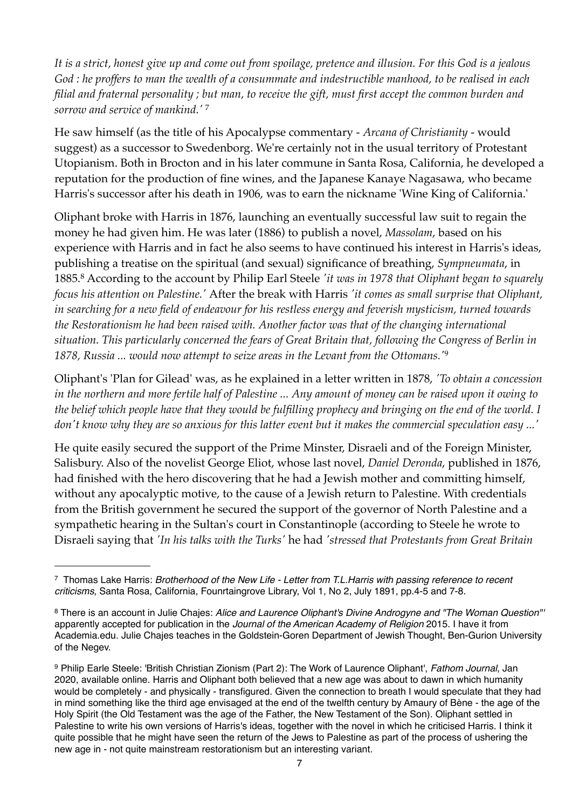*It is a strict, honest give up and come out from spoilage, pretence and illusion. For this God is a jealous God : he proffers to man the wealth of a consummate and indestructible manhood, to be realised in each filial and fraternal personality ; but man, to receive the gift, must first accept the common burden and sorrow and service of mankind.'* [7](#page-6-0)

He saw himself (as the title of his Apocalypse commentary - *Arcana of Christianity -* would suggest) as a successor to Swedenborg. We're certainly not in the usual territory of Protestant Utopianism. Both in Brocton and in his later commune in Santa Rosa, California, he developed a reputation for the production of fine wines, and the Japanese Kanaye Nagasawa, who became Harris's successor after his death in 1906, was to earn the nickname 'Wine King of California.'

Oliphant broke with Harris in 1876, launching an eventually successful law suit to regain the money he had given him. He was later (1886) to publish a novel, *Massolam*, based on his experience with Harris and in fact he also seems to have continued his interest in Harris's ideas, publishing a treatise on the spiritual (and sexual) significance of breathing, *Sympneumata*, in 1885.[8](#page-6-1) According to the account by Philip Earl Steele *'it was in 1978 that Oliphant began to squarely focus his attention on Palestine.'* After the break with Harris *'it comes as small surprise that Oliphant, in searching for a new field of endeavour for his restless energy and feverish mysticism, turned towards the Restorationism he had been raised with. Another factor was that of the changing international situation. This particularly concerned the fears of Great Britain that, following the Congress of Berlin in 1878, Russia ... would now attempt to seize areas in the Levant from the Ottomans.'*[9](#page-6-2)

Oliphant's 'Plan for Gilead' was, as he explained in a letter written in 1878, *'To obtain a concession in the northern and more fertile half of Palestine ... Any amount of money can be raised upon it owing to the belief which people have that they would be fulfilling prophecy and bringing on the end of the world. I don't know why they are so anxious for this latter event but it makes the commercial speculation easy ...'*

He quite easily secured the support of the Prime Minster, Disraeli and of the Foreign Minister, Salisbury. Also of the novelist George Eliot, whose last novel, *Daniel Deronda*, published in 1876, had finished with the hero discovering that he had a Jewish mother and committing himself, without any apocalyptic motive, to the cause of a Jewish return to Palestine. With credentials from the British government he secured the support of the governor of North Palestine and a sympathetic hearing in the Sultan's court in Constantinople (according to Steele he wrote to Disraeli saying that *'In his talks with the Turks'* he had *'stressed that Protestants from Great Britain* 

<span id="page-6-0"></span><sup>7</sup> Thomas Lake Harris: *Brotherhood of the New Life - Letter from T.L.Harris with passing reference to recent criticisms*, Santa Rosa, California, Founrtaingrove Library, Vol 1, No 2, July 1891, pp.4-5 and 7-8.

<span id="page-6-1"></span><sup>8</sup> There is an account in Julie Chajes: *Alice and Laurence Oliphant's Divine Androgyne and "The Woman Question"'* apparently accepted for publication in the *Journal of the American Academy of Religion* 2015. I have it from Academia.edu. Julie Chajes teaches in the Goldstein-Goren Department of Jewish Thought, Ben-Gurion University of the Negev.

<span id="page-6-2"></span><sup>9</sup> Philip Earle Steele: 'British Christian Zionism (Part 2): The Work of Laurence Oliphant', *Fathom Journal*, Jan 2020, available online. Harris and Oliphant both believed that a new age was about to dawn in which humanity would be completely - and physically - transfigured. Given the connection to breath I would speculate that they had in mind something like the third age envisaged at the end of the twelfth century by Amaury of Bène - the age of the Holy Spirit (the Old Testament was the age of the Father, the New Testament of the Son). Oliphant settled in Palestine to write his own versions of Harris's ideas, together with the novel in which he criticised Harris. I think it quite possible that he might have seen the return of the Jews to Palestine as part of the process of ushering the new age in - not quite mainstream restorationism but an interesting variant.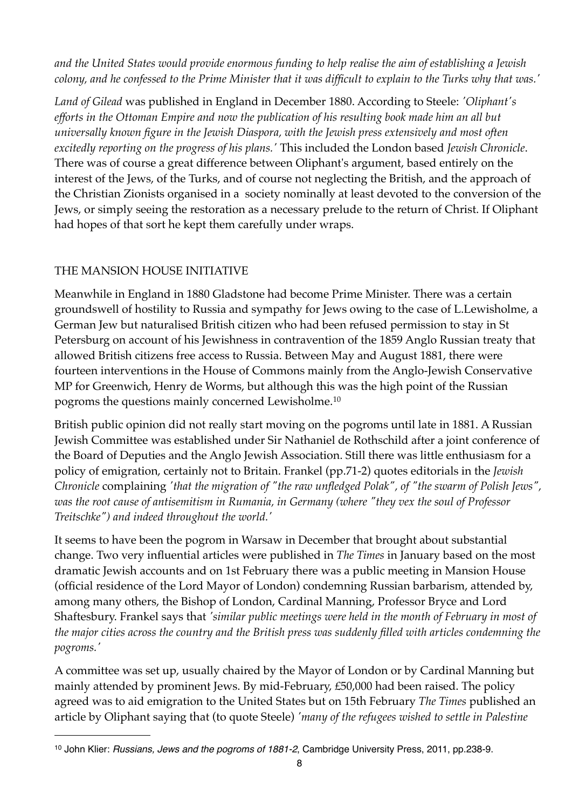*and the United States would provide enormous funding to help realise the aim of establishing a Jewish colony, and he confessed to the Prime Minister that it was difficult to explain to the Turks why that was.'*

*Land of Gilead* was published in England in December 1880. According to Steele: *'Oliphant's efforts in the Ottoman Empire and now the publication of his resulting book made him an all but universally known figure in the Jewish Diaspora, with the Jewish press extensively and most often excitedly reporting on the progress of his plans.'* This included the London based *Jewish Chronicle*. There was of course a great difference between Oliphant's argument, based entirely on the interest of the Jews, of the Turks, and of course not neglecting the British, and the approach of the Christian Zionists organised in a society nominally at least devoted to the conversion of the Jews, or simply seeing the restoration as a necessary prelude to the return of Christ. If Oliphant had hopes of that sort he kept them carefully under wraps.

# THE MANSION HOUSE INITIATIVE

Meanwhile in England in 1880 Gladstone had become Prime Minister. There was a certain groundswell of hostility to Russia and sympathy for Jews owing to the case of L.Lewisholme, a German Jew but naturalised British citizen who had been refused permission to stay in St Petersburg on account of his Jewishness in contravention of the 1859 Anglo Russian treaty that allowed British citizens free access to Russia. Between May and August 1881, there were fourteen interventions in the House of Commons mainly from the Anglo-Jewish Conservative MP for Greenwich, Henry de Worms, but although this was the high point of the Russian pogroms the questions mainly concerned Lewisholme.[10](#page-7-0)

British public opinion did not really start moving on the pogroms until late in 1881. A Russian Jewish Committee was established under Sir Nathaniel de Rothschild after a joint conference of the Board of Deputies and the Anglo Jewish Association. Still there was little enthusiasm for a policy of emigration, certainly not to Britain. Frankel (pp.71-2) quotes editorials in the *Jewish Chronicle* complaining *'that the migration of "the raw unfledged Polak", of "the swarm of Polish Jews", was the root cause of antisemitism in Rumania, in Germany (where "they vex the soul of Professor Treitschke") and indeed throughout the world.'*

It seems to have been the pogrom in Warsaw in December that brought about substantial change. Two very influential articles were published in *The Times* in January based on the most dramatic Jewish accounts and on 1st February there was a public meeting in Mansion House (official residence of the Lord Mayor of London) condemning Russian barbarism, attended by, among many others, the Bishop of London, Cardinal Manning, Professor Bryce and Lord Shaftesbury. Frankel says that *'similar public meetings were held in the month of February in most of the major cities across the country and the British press was suddenly filled with articles condemning the pogroms.'*

A committee was set up, usually chaired by the Mayor of London or by Cardinal Manning but mainly attended by prominent Jews. By mid-February, £50,000 had been raised. The policy agreed was to aid emigration to the United States but on 15th February *The Times* published an article by Oliphant saying that (to quote Steele) *'many of the refugees wished to settle in Palestine* 

<span id="page-7-0"></span><sup>10</sup> John Klier: *Russians, Jews and the pogroms of 1881-2*, Cambridge University Press, 2011, pp.238-9.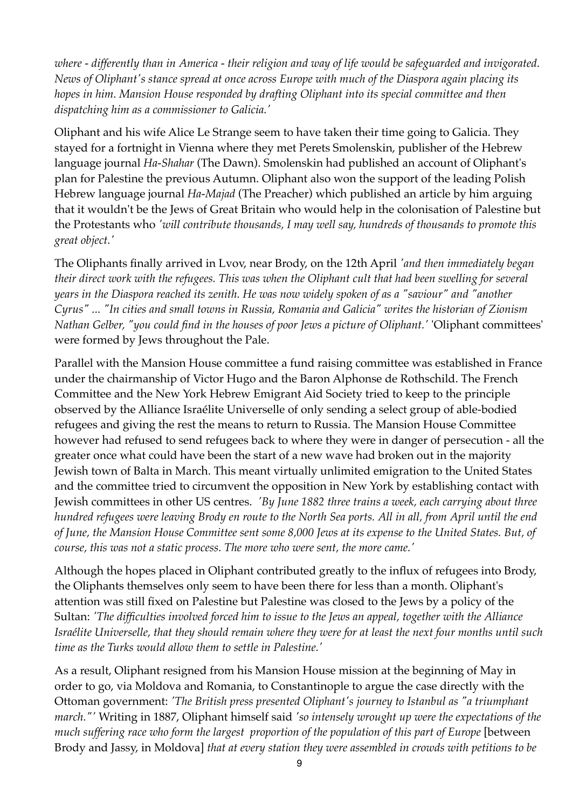*where - differently than in America - their religion and way of life would be safeguarded and invigorated. News of Oliphant's stance spread at once across Europe with much of the Diaspora again placing its hopes in him. Mansion House responded by drafting Oliphant into its special committee and then dispatching him as a commissioner to Galicia.'*

Oliphant and his wife Alice Le Strange seem to have taken their time going to Galicia. They stayed for a fortnight in Vienna where they met Perets Smolenskin, publisher of the Hebrew language journal *Ha-Shahar* (The Dawn). Smolenskin had published an account of Oliphant's plan for Palestine the previous Autumn. Oliphant also won the support of the leading Polish Hebrew language journal *Ha-Majad* (The Preacher) which published an article by him arguing that it wouldn't be the Jews of Great Britain who would help in the colonisation of Palestine but the Protestants who *'will contribute thousands, I may well say, hundreds of thousands to promote this great object.'*

The Oliphants finally arrived in Lvov, near Brody, on the 12th April *'and then immediately began their direct work with the refugees. This was when the Oliphant cult that had been swelling for several years in the Diaspora reached its zenith. He was now widely spoken of as a "saviour" and "another Cyrus" ... "In cities and small towns in Russia, Romania and Galicia" writes the historian of Zionism Nathan Gelber, "you could find in the houses of poor Jews a picture of Oliphant.'* 'Oliphant committees' were formed by Jews throughout the Pale.

Parallel with the Mansion House committee a fund raising committee was established in France under the chairmanship of Victor Hugo and the Baron Alphonse de Rothschild. The French Committee and the New York Hebrew Emigrant Aid Society tried to keep to the principle observed by the Alliance Israélite Universelle of only sending a select group of able-bodied refugees and giving the rest the means to return to Russia. The Mansion House Committee however had refused to send refugees back to where they were in danger of persecution - all the greater once what could have been the start of a new wave had broken out in the majority Jewish town of Balta in March. This meant virtually unlimited emigration to the United States and the committee tried to circumvent the opposition in New York by establishing contact with Jewish committees in other US centres. *'By June 1882 three trains a week, each carrying about three hundred refugees were leaving Brody en route to the North Sea ports. All in all, from April until the end of June, the Mansion House Committee sent some 8,000 Jews at its expense to the United States. But, of course, this was not a static process. The more who were sent, the more came.'*

Although the hopes placed in Oliphant contributed greatly to the influx of refugees into Brody, the Oliphants themselves only seem to have been there for less than a month. Oliphant's attention was still fixed on Palestine but Palestine was closed to the Jews by a policy of the Sultan: *'The difficulties involved forced him to issue to the Jews an appeal, together with the Alliance Israélite Universelle, that they should remain where they were for at least the next four months until such time as the Turks would allow them to settle in Palestine.'*

As a result, Oliphant resigned from his Mansion House mission at the beginning of May in order to go, via Moldova and Romania, to Constantinople to argue the case directly with the Ottoman government: *'The British press presented Oliphant's journey to Istanbul as "a triumphant march."'* Writing in 1887, Oliphant himself said *'so intensely wrought up were the expectations of the much suffering race who form the largest proportion of the population of this part of Europe* [between Brody and Jassy, in Moldova] *that at every station they were assembled in crowds with petitions to be*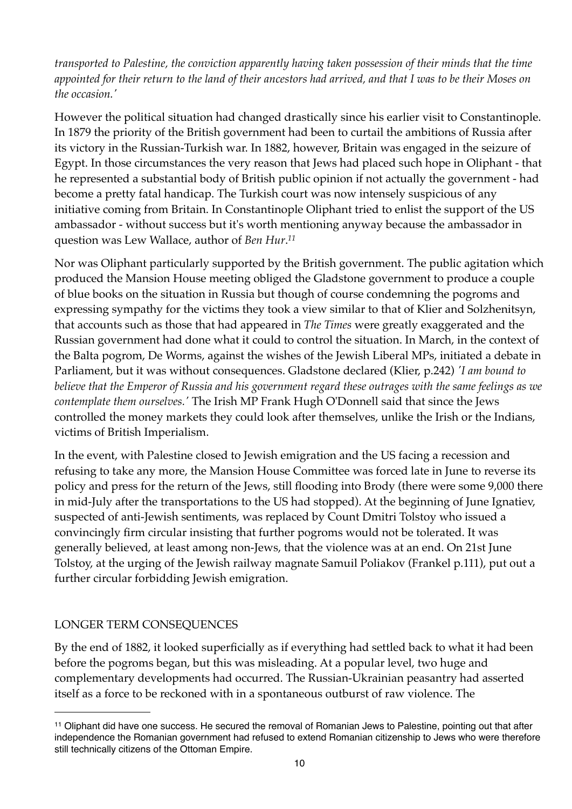*transported to Palestine, the conviction apparently having taken possession of their minds that the time appointed for their return to the land of their ancestors had arrived, and that I was to be their Moses on the occasion.'*

However the political situation had changed drastically since his earlier visit to Constantinople. In 1879 the priority of the British government had been to curtail the ambitions of Russia after its victory in the Russian-Turkish war. In 1882, however, Britain was engaged in the seizure of Egypt. In those circumstances the very reason that Jews had placed such hope in Oliphant - that he represented a substantial body of British public opinion if not actually the government - had become a pretty fatal handicap. The Turkish court was now intensely suspicious of any initiative coming from Britain. In Constantinople Oliphant tried to enlist the support of the US ambassador - without success but it's worth mentioning anyway because the ambassador in question was Lew Wallace, author of *Ben Hur*. *[11](#page-9-0)*

Nor was Oliphant particularly supported by the British government. The public agitation which produced the Mansion House meeting obliged the Gladstone government to produce a couple of blue books on the situation in Russia but though of course condemning the pogroms and expressing sympathy for the victims they took a view similar to that of Klier and Solzhenitsyn, that accounts such as those that had appeared in *The Times* were greatly exaggerated and the Russian government had done what it could to control the situation. In March, in the context of the Balta pogrom, De Worms, against the wishes of the Jewish Liberal MPs, initiated a debate in Parliament, but it was without consequences. Gladstone declared (Klier, p.242) *'I am bound to believe that the Emperor of Russia and his government regard these outrages with the same feelings as we contemplate them ourselves.'* The Irish MP Frank Hugh O'Donnell said that since the Jews controlled the money markets they could look after themselves, unlike the Irish or the Indians, victims of British Imperialism.

In the event, with Palestine closed to Jewish emigration and the US facing a recession and refusing to take any more, the Mansion House Committee was forced late in June to reverse its policy and press for the return of the Jews, still flooding into Brody (there were some 9,000 there in mid-July after the transportations to the US had stopped). At the beginning of June Ignatiev, suspected of anti-Jewish sentiments, was replaced by Count Dmitri Tolstoy who issued a convincingly firm circular insisting that further pogroms would not be tolerated. It was generally believed, at least among non-Jews, that the violence was at an end. On 21st June Tolstoy, at the urging of the Jewish railway magnate Samuil Poliakov (Frankel p.111), put out a further circular forbidding Jewish emigration.

### LONGER TERM CONSEQUENCES

By the end of 1882, it looked superficially as if everything had settled back to what it had been before the pogroms began, but this was misleading. At a popular level, two huge and complementary developments had occurred. The Russian-Ukrainian peasantry had asserted itself as a force to be reckoned with in a spontaneous outburst of raw violence. The

<span id="page-9-0"></span><sup>11</sup> Oliphant did have one success. He secured the removal of Romanian Jews to Palestine, pointing out that after independence the Romanian government had refused to extend Romanian citizenship to Jews who were therefore still technically citizens of the Ottoman Empire.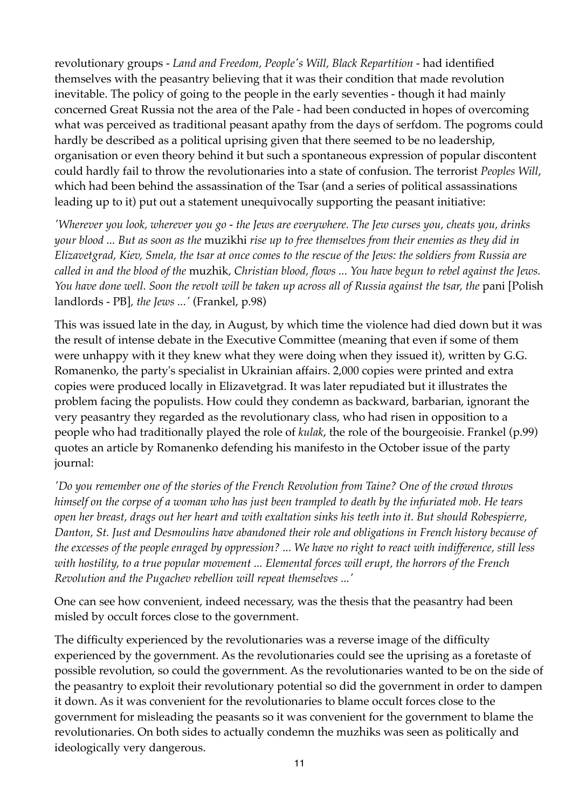revolutionary groups - *Land and Freedom, People's Will, Black Repartition* - had identified themselves with the peasantry believing that it was their condition that made revolution inevitable. The policy of going to the people in the early seventies - though it had mainly concerned Great Russia not the area of the Pale - had been conducted in hopes of overcoming what was perceived as traditional peasant apathy from the days of serfdom. The pogroms could hardly be described as a political uprising given that there seemed to be no leadership, organisation or even theory behind it but such a spontaneous expression of popular discontent could hardly fail to throw the revolutionaries into a state of confusion. The terrorist *Peoples Will*, which had been behind the assassination of the Tsar (and a series of political assassinations leading up to it) put out a statement unequivocally supporting the peasant initiative:

*'Wherever you look, wherever you go - the Jews are everywhere. The Jew curses you, cheats you, drinks your blood ... But as soon as the* muzikhi *rise up to free themselves from their enemies as they did in Elizavetgrad, Kiev, Smela, the tsar at once comes to the rescue of the Jews: the soldiers from Russia are called in and the blood of the* muzhik*, Christian blood, flows ... You have begun to rebel against the Jews.*  You have done well. Soon the revolt will be taken up across all of Russia against the tsar, the pani [Polish landlords - PB]*, the Jews ...'* (Frankel, p.98)

This was issued late in the day, in August, by which time the violence had died down but it was the result of intense debate in the Executive Committee (meaning that even if some of them were unhappy with it they knew what they were doing when they issued it), written by G.G. Romanenko, the party's specialist in Ukrainian affairs. 2,000 copies were printed and extra copies were produced locally in Elizavetgrad. It was later repudiated but it illustrates the problem facing the populists. How could they condemn as backward, barbarian, ignorant the very peasantry they regarded as the revolutionary class, who had risen in opposition to a people who had traditionally played the role of *kulak*, the role of the bourgeoisie. Frankel (p.99) quotes an article by Romanenko defending his manifesto in the October issue of the party journal:

*'Do you remember one of the stories of the French Revolution from Taine? One of the crowd throws himself on the corpse of a woman who has just been trampled to death by the infuriated mob. He tears open her breast, drags out her heart and with exaltation sinks his teeth into it. But should Robespierre, Danton, St. Just and Desmoulins have abandoned their role and obligations in French history because of the excesses of the people enraged by oppression? ... We have no right to react with indifference, still less with hostility, to a true popular movement ... Elemental forces will erupt, the horrors of the French Revolution and the Pugachev rebellion will repeat themselves ...'*

One can see how convenient, indeed necessary, was the thesis that the peasantry had been misled by occult forces close to the government.

The difficulty experienced by the revolutionaries was a reverse image of the difficulty experienced by the government. As the revolutionaries could see the uprising as a foretaste of possible revolution, so could the government. As the revolutionaries wanted to be on the side of the peasantry to exploit their revolutionary potential so did the government in order to dampen it down. As it was convenient for the revolutionaries to blame occult forces close to the government for misleading the peasants so it was convenient for the government to blame the revolutionaries. On both sides to actually condemn the muzhiks was seen as politically and ideologically very dangerous.